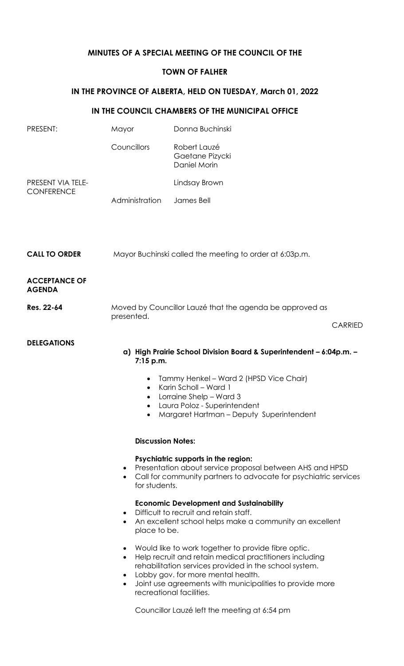## **MINUTES OF A SPECIAL MEETING OF THE COUNCIL OF THE**

## **TOWN OF FALHER**

# **IN THE PROVINCE OF ALBERTA, HELD ON TUESDAY, March 01, 2022**

### **IN THE COUNCIL CHAMBERS OF THE MUNICIPAL OFFICE**

| PRESENT:                               | Mayor                                                                                                                                                                                                          | Donna Buchinski                                                                                                                                                                                                                                                                                        |
|----------------------------------------|----------------------------------------------------------------------------------------------------------------------------------------------------------------------------------------------------------------|--------------------------------------------------------------------------------------------------------------------------------------------------------------------------------------------------------------------------------------------------------------------------------------------------------|
|                                        | Councillors                                                                                                                                                                                                    | Robert Lauzé<br>Gaetane Pizycki<br>Daniel Morin                                                                                                                                                                                                                                                        |
| PRESENT VIA TELE-<br><b>CONFERENCE</b> |                                                                                                                                                                                                                | Lindsay Brown                                                                                                                                                                                                                                                                                          |
|                                        | Administration                                                                                                                                                                                                 | James Bell                                                                                                                                                                                                                                                                                             |
| <b>CALL TO ORDER</b>                   | Mayor Buchinski called the meeting to order at 6:03p.m.                                                                                                                                                        |                                                                                                                                                                                                                                                                                                        |
| <b>ACCEPTANCE OF</b><br><b>AGENDA</b>  |                                                                                                                                                                                                                |                                                                                                                                                                                                                                                                                                        |
| Res. 22-64                             | Moved by Councillor Lauzé that the agenda be approved as<br>presented.                                                                                                                                         |                                                                                                                                                                                                                                                                                                        |
|                                        |                                                                                                                                                                                                                | <b>CARRIED</b>                                                                                                                                                                                                                                                                                         |
| <b>DELEGATIONS</b>                     | $7:15$ p.m.<br>٠<br>$\bullet$                                                                                                                                                                                  | a) High Prairie School Division Board & Superintendent - 6:04p.m. -<br>Tammy Henkel - Ward 2 (HPSD Vice Chair)<br>Karin Scholl - Ward 1<br>Lorraine Shelp - Ward 3<br>Laura Poloz - Superintendent<br>Margaret Hartman - Deputy Superintendent                                                         |
|                                        | <b>Discussion Notes:</b>                                                                                                                                                                                       |                                                                                                                                                                                                                                                                                                        |
|                                        | Psychiatric supports in the region:<br>Presentation about service proposal between AHS and HPSD<br>$\bullet$<br>Call for community partners to advocate for psychiatric services<br>$\bullet$<br>for students. |                                                                                                                                                                                                                                                                                                        |
|                                        | <b>Economic Development and Sustainability</b><br>Difficult to recruit and retain staff.<br>An excellent school helps make a community an excellent<br>$\bullet$<br>place to be.                               |                                                                                                                                                                                                                                                                                                        |
|                                        | $\bullet$<br>$\bullet$<br>$\bullet$                                                                                                                                                                            | Would like to work together to provide fibre optic.<br>Help recruit and retain medical practitioners including<br>rehabilitation services provided in the school system.<br>Lobby gov. for more mental health.<br>Joint use agreements with municipalities to provide more<br>recreational facilities. |
|                                        |                                                                                                                                                                                                                | Councillor Lauzé left the meeting at 6:54 pm                                                                                                                                                                                                                                                           |